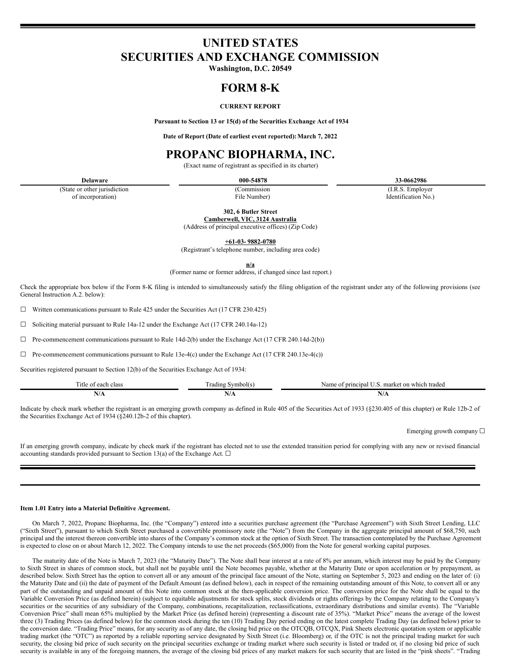# **UNITED STATES SECURITIES AND EXCHANGE COMMISSION**

**Washington, D.C. 20549**

## **FORM 8-K**

## **CURRENT REPORT**

**Pursuant to Section 13 or 15(d) of the Securities Exchange Act of 1934**

**Date of Report (Date of earliest event reported):March 7, 2022**

## **PROPANC BIOPHARMA, INC.**

(Exact name of registrant as specified in its charter)

(State or other jurisdiction of incorporation)

(Commission

**Delaware 000-54878 33-0662986**

(I.R.S. Employer Identification No.)

File Number) **302, 6 Butler Street**

**Camberwell, VIC, 3124 Australia** (Address of principal executive offices) (Zip Code)

**+61-03- 9882-0780**

(Registrant's telephone number, including area code)

**n/a**

(Former name or former address, if changed since last report.)

Check the appropriate box below if the Form 8-K filing is intended to simultaneously satisfy the filing obligation of the registrant under any of the following provisions (see General Instruction A.2. below):

 $\Box$  Written communications pursuant to Rule 425 under the Securities Act (17 CFR 230.425)

☐ Soliciting material pursuant to Rule 14a-12 under the Exchange Act (17 CFR 240.14a-12)

 $\Box$  Pre-commencement communications pursuant to Rule 14d-2(b) under the Exchange Act (17 CFR 240.14d-2(b))

 $\Box$  Pre-commencement communications pursuant to Rule 13e-4(c) under the Exchange Act (17 CFR 240.13e-4(c))

Securities registered pursuant to Section 12(b) of the Securities Exchange Act of 1934:

| Title<br>of each class :        | $\sim$<br>Symbol(s.<br>cading | Name of principal<br>. market on which traded<br>$\cdots$ |
|---------------------------------|-------------------------------|-----------------------------------------------------------|
| $\blacksquare$<br>11/1 <b>2</b> | N/A                           | w<br>11/H                                                 |

Indicate by check mark whether the registrant is an emerging growth company as defined in Rule 405 of the Securities Act of 1933 (§230.405 of this chapter) or Rule 12b-2 of the Securities Exchange Act of 1934 (§240.12b-2 of this chapter).

Emerging growth company  $\Box$ 

If an emerging growth company, indicate by check mark if the registrant has elected not to use the extended transition period for complying with any new or revised financial accounting standards provided pursuant to Section 13(a) of the Exchange Act.  $\square$ 

## **Item 1.01 Entry into a Material Definitive Agreement.**

On March 7, 2022, Propanc Biopharma, Inc. (the "Company") entered into a securities purchase agreement (the "Purchase Agreement") with Sixth Street Lending, LLC ("Sixth Street"), pursuant to which Sixth Street purchased a convertible promissory note (the "Note") from the Company in the aggregate principal amount of \$68,750, such principal and the interest thereon convertible into shares of the Company's common stock at the option of Sixth Street. The transaction contemplated by the Purchase Agreement is expected to close on or about March 12, 2022. The Company intends to use the net proceeds (\$65,000) from the Note for general working capital purposes.

The maturity date of the Note is March 7, 2023 (the "Maturity Date"). The Note shall bear interest at a rate of 8% per annum, which interest may be paid by the Company to Sixth Street in shares of common stock, but shall not be payable until the Note becomes payable, whether at the Maturity Date or upon acceleration or by prepayment, as described below. Sixth Street has the option to convert all or any amount of the principal face amount of the Note, starting on September 5, 2023 and ending on the later of: (i) the Maturity Date and (ii) the date of payment of the Default Amount (as defined below), each in respect of the remaining outstanding amount of this Note, to convert all or any part of the outstanding and unpaid amount of this Note into common stock at the then-applicable conversion price. The conversion price for the Note shall be equal to the Variable Conversion Price (as defined herein) (subject to equitable adjustments for stock splits, stock dividends or rights offerings by the Company relating to the Company's securities or the securities of any subsidiary of the Company, combinations, recapitalization, reclassifications, extraordinary distributions and similar events). The "Variable Conversion Price" shall mean 65% multiplied by the Market Price (as defined herein) (representing a discount rate of 35%). "Market Price" means the average of the lowest three (3) Trading Prices (as defined below) for the common stock during the ten (10) Trading Day period ending on the latest complete Trading Day (as defined below) prior to the conversion date. "Trading Price" means, for any security as of any date, the closing bid price on the OTCQB, OTCQX, Pink Sheets electronic quotation system or applicable trading market (the "OTC") as reported by a reliable reporting service designated by Sixth Street (i.e. Bloomberg) or, if the OTC is not the principal trading market for such security, the closing bid price of such security on the principal securities exchange or trading market where such security is listed or traded or, if no closing bid price of such security is available in any of the foregoing manners, the average of the closing bid prices of any market makers for such security that are listed in the "pink sheets". "Trading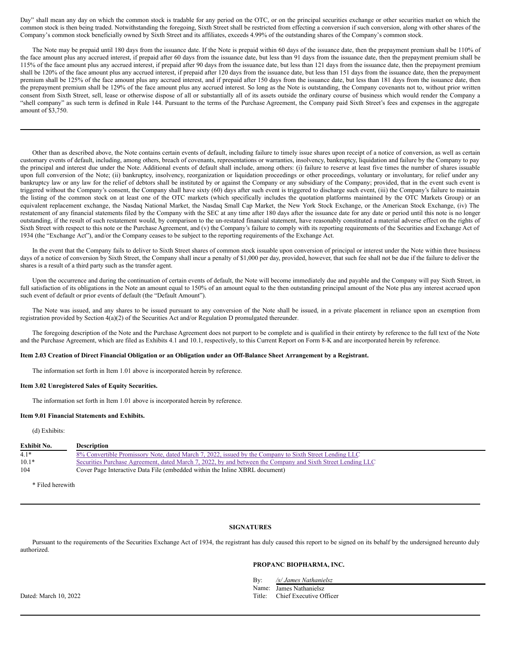Day" shall mean any day on which the common stock is tradable for any period on the OTC, or on the principal securities exchange or other securities market on which the common stock is then being traded. Notwithstanding the foregoing, Sixth Street shall be restricted from effecting a conversion if such conversion, along with other shares of the Company's common stock beneficially owned by Sixth Street and its affiliates, exceeds 4.99% of the outstanding shares of the Company's common stock.

The Note may be prepaid until 180 days from the issuance date. If the Note is prepaid within 60 days of the issuance date, then the prepayment premium shall be 110% of the face amount plus any accrued interest, if prepaid after 60 days from the issuance date, but less than 91 days from the issuance date, then the prepayment premium shall be 115% of the face amount plus any accrued interest, if prepaid after 90 days from the issuance date, but less than 121 days from the issuance date, then the prepayment premium shall be 120% of the face amount plus any accrued interest, if prepaid after 120 days from the issuance date, but less than 151 days from the issuance date, then the prepayment premium shall be 125% of the face amount plus any accrued interest, and if prepaid after 150 days from the issuance date, but less than 181 days from the issuance date, then the prepayment premium shall be 129% of the face amount plus any accrued interest. So long as the Note is outstanding, the Company covenants not to, without prior written consent from Sixth Street, sell, lease or otherwise dispose of all or substantially all of its assets outside the ordinary course of business which would render the Company a "shell company" as such term is defined in Rule 144. Pursuant to the terms of the Purchase Agreement, the Company paid Sixth Street's fees and expenses in the aggregate amount of \$3,750.

Other than as described above, the Note contains certain events of default, including failure to timely issue shares upon receipt of a notice of conversion, as well as certain customary events of default, including, among others, breach of covenants, representations or warranties, insolvency, bankruptcy, liquidation and failure by the Company to pay the principal and interest due under the Note. Additional events of default shall include, among others: (i) failure to reserve at least five times the number of shares issuable upon full conversion of the Note; (ii) bankruptcy, insolvency, reorganization or liquidation proceedings or other proceedings, voluntary or involuntary, for relief under any bankruptcy law or any law for the relief of debtors shall be instituted by or against the Company or any subsidiary of the Company; provided, that in the event such event is triggered without the Company's consent, the Company shall have sixty (60) days after such event is triggered to discharge such event, (iii) the Company's failure to maintain the listing of the common stock on at least one of the OTC markets (which specifically includes the quotation platforms maintained by the OTC Markets Group) or an equivalent replacement exchange, the Nasdaq National Market, the Nasdaq Small Cap Market, the New York Stock Exchange, or the American Stock Exchange, (iv) The restatement of any financial statements filed by the Company with the SEC at any time after 180 days after the issuance date for any date or period until this note is no longer outstanding, if the result of such restatement would, by comparison to the un-restated financial statement, have reasonably constituted a material adverse effect on the rights of Sixth Street with respect to this note or the Purchase Agreement, and (v) the Company's failure to comply with its reporting requirements of the Securities and Exchange Act of 1934 (the "Exchange Act"), and/or the Company ceases to be subject to the reporting requirements of the Exchange Act.

In the event that the Company fails to deliver to Sixth Street shares of common stock issuable upon conversion of principal or interest under the Note within three business days of a notice of conversion by Sixth Street, the Company shall incur a penalty of \$1,000 per day, provided, however, that such fee shall not be due if the failure to deliver the shares is a result of a third party such as the transfer agent.

Upon the occurrence and during the continuation of certain events of default, the Note will become immediately due and payable and the Company will pay Sixth Street, in full satisfaction of its obligations in the Note an amount equal to 150% of an amount equal to the then outstanding principal amount of the Note plus any interest accrued upon such event of default or prior events of default (the "Default Amount").

The Note was issued, and any shares to be issued pursuant to any conversion of the Note shall be issued, in a private placement in reliance upon an exemption from registration provided by Section 4(a)(2) of the Securities Act and/or Regulation D promulgated thereunder.

The foregoing description of the Note and the Purchase Agreement does not purport to be complete and is qualified in their entirety by reference to the full text of the Note and the Purchase Agreement, which are filed as Exhibits 4.1 and 10.1, respectively, to this Current Report on Form 8-K and are incorporated herein by reference.

#### Item 2.03 Creation of Direct Financial Obligation or an Obligation under an Off-Balance Sheet Arrangement by a Registrant.

The information set forth in Item 1.01 above is incorporated herein by reference.

#### **Item 3.02 Unregistered Sales of Equity Securities.**

The information set forth in Item 1.01 above is incorporated herein by reference.

### **Item 9.01 Financial Statements and Exhibits.**

#### (d) Exhibits:

| <b>Exhibit No.</b> | <b>Description</b>                                                                                          |
|--------------------|-------------------------------------------------------------------------------------------------------------|
| $4.1*$             | 8% Convertible Promissory Note, dated March 7, 2022, issued by the Company to Sixth Street Lending LLC      |
| $10.1*$            | Securities Purchase Agreement, dated March 7, 2022, by and between the Company and Sixth Street Lending LLC |
| 104                | Cover Page Interactive Data File (embedded within the Inline XBRL document)                                 |

\* Filed herewith

#### **SIGNATURES**

Pursuant to the requirements of the Securities Exchange Act of 1934, the registrant has duly caused this report to be signed on its behalf by the undersigned hereunto duly authorized.

## **PROPANC BIOPHARMA, INC.**

By: */s/ James Nathanielsz*

Name: James Nathanielsz

Dated: March 10, 2022 Title: Chief Executive Officer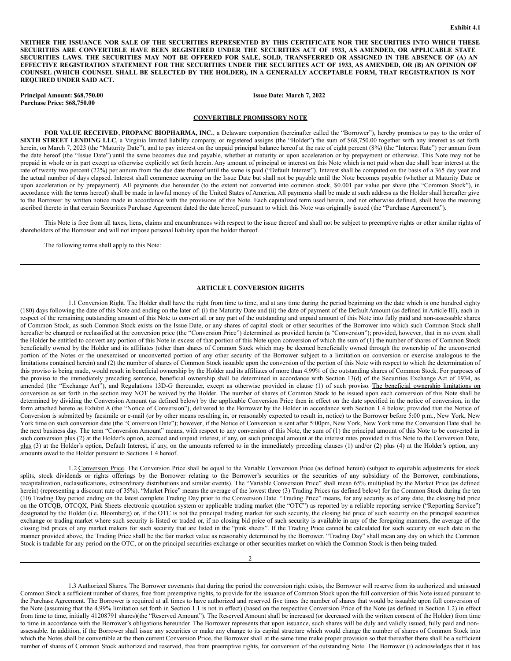NEITHER THE ISSUANCE NOR SALE OF THE SECURITIES REPRESENTED BY THIS CERTIFICATE NOR THE SECURITIES INTO WHICH THESE SECURITIES ARE CONVERTIBLE HAVE BEEN REGISTERED UNDER THE SECURITIES ACT OF 1933, AS AMENDED, OR APPLICABLE STATE SECURITIES LAWS. THE SECURITIES MAY NOT BE OFFERED FOR SALE, SOLD, TRANSFERRED OR ASSIGNED IN THE ABSENCE OF (A) AN EFFECTIVE REGISTRATION STATEMENT FOR THE SECURITIES UNDER THE SECURITIES ACT OF 1933, AS AMENDED, OR (B) AN OPINION OF COUNSEL (WHICH COUNSEL SHALL BE SELECTED BY THE HOLDER), IN A GENERALLY ACCEPTABLE FORM, THAT REGISTRATION IS NOT **REQUIRED UNDER SAID ACT.**

**Principal Amount: \$68,750.00 Purchase Price: \$68,750.00**

**Issue Date: March 7, 2022**

#### **CONVERTIBLE PROMISSORY NOTE**

**FOR VALUE RECEIVED**, **PROPANC BIOPHARMA, INC.**, a Delaware corporation (hereinafter called the "Borrower"), hereby promises to pay to the order of **SIXTH STREET LENDING LLC**, a Virginia limited liability company, or registered assigns (the "Holder") the sum of \$68,750.00 together with any interest as set forth herein, on March 7, 2023 (the "Maturity Date"), and to pay interest on the unpaid principal balance hereof at the rate of eight percent (8%) (the "Interest Rate") per annum from the date hereof (the "Issue Date") until the same becomes due and payable, whether at maturity or upon acceleration or by prepayment or otherwise. This Note may not be prepaid in whole or in part except as otherwise explicitly set forth herein. Any amount of principal or interest on this Note which is not paid when due shall bear interest at the rate of twenty two percent (22%) per annum from the due date thereof until the same is paid ("Default Interest"). Interest shall be computed on the basis of a 365 day year and the actual number of days elapsed. Interest shall commence accruing on the Issue Date but shall not be payable until the Note becomes payable (whether at Maturity Date or upon acceleration or by prepayment). All payments due hereunder (to the extent not converted into common stock, \$0.001 par value per share (the "Common Stock"), in accordance with the terms hereof) shall be made in lawful money of the United States of America. All payments shall be made at such address as the Holder shall hereafter give to the Borrower by written notice made in accordance with the provisions of this Note. Each capitalized term used herein, and not otherwise defined, shall have the meaning ascribed thereto in that certain Securities Purchase Agreement dated the date hereof, pursuant to which this Note was originally issued (the "Purchase Agreement").

This Note is free from all taxes, liens, claims and encumbrances with respect to the issue thereof and shall not be subject to preemptive rights or other similar rights of shareholders of the Borrower and will not impose personal liability upon the holder thereof.

The following terms shall apply to this Note:

#### **ARTICLE I. CONVERSION RIGHTS**

1.1 Conversion Right. The Holder shall have the right from time to time, and at any time during the period beginning on the date which is one hundred eighty (180) days following the date of this Note and ending on the later of: (i) the Maturity Date and (ii) the date of payment of the Default Amount (as defined in Article III), each in respect of the remaining outstanding amount of this Note to convert all or any part of the outstanding and unpaid amount of this Note into fully paid and non-assessable shares of Common Stock, as such Common Stock exists on the Issue Date, or any shares of capital stock or other securities of the Borrower into which such Common Stock shall hereafter be changed or reclassified at the conversion price (the "Conversion Price") determined as provided herein (a "Conversion"); provided, however, that in no event shall the Holder be entitled to convert any portion of this Note in excess of that portion of this Note upon conversion of which the sum of (1) the number of shares of Common Stock beneficially owned by the Holder and its affiliates (other than shares of Common Stock which may be deemed beneficially owned through the ownership of the unconverted portion of the Notes or the unexercised or unconverted portion of any other security of the Borrower subject to a limitation on conversion or exercise analogous to the limitations contained herein) and (2) the number of shares of Common Stock issuable upon the conversion of the portion of this Note with respect to which the determination of this proviso is being made, would result in beneficial ownership by the Holder and its affiliates of more than 4.99% of the outstanding shares of Common Stock. For purposes of the proviso to the immediately preceding sentence, beneficial ownership shall be determined in accordance with Section 13(d) of the Securities Exchange Act of 1934, as amended (the "Exchange Act"), and Regulations 13D-G thereunder, except as otherwise provided in clause (1) of such proviso. The beneficial ownership limitations on conversion as set forth in the section may NOT be waived by the Holder. The number of shares of Common Stock to be issued upon each conversion of this Note shall be determined by dividing the Conversion Amount (as defined below) by the applicable Conversion Price then in effect on the date specified in the notice of conversion, in the form attached hereto as Exhibit A (the "Notice of Conversion"), delivered to the Borrower by the Holder in accordance with Section 1.4 below; provided that the Notice of Conversion is submitted by facsimile or e-mail (or by other means resulting in, or reasonably expected to result in, notice) to the Borrower before 5:00 p.m., New York, New York time on such conversion date (the "Conversion Date"); however, if the Notice of Conversion is sent after 5:00pm, New York, New York time the Conversion Date shall be the next business day. The term "Conversion Amount" means, with respect to any conversion of this Note, the sum of (1) the principal amount of this Note to be converted in such conversion plus (2) at the Holder's option, accrued and unpaid interest, if any, on such principal amount at the interest rates provided in this Note to the Conversion Date, plus (3) at the Holder's option, Default Interest, if any, on the amounts referred to in the immediately preceding clauses (1) and/or (2) plus (4) at the Holder's option, any amounts owed to the Holder pursuant to Sections 1.4 hereof.

1.2 Conversion Price. The Conversion Price shall be equal to the Variable Conversion Price (as defined herein) (subject to equitable adjustments for stock splits, stock dividends or rights offerings by the Borrower relating to the Borrower's securities or the securities of any subsidiary of the Borrower, combinations, recapitalization, reclassifications, extraordinary distributions and similar events). The "Variable Conversion Price" shall mean 65% multiplied by the Market Price (as defined herein) (representing a discount rate of 35%). "Market Price" means the average of the lowest three (3) Trading Prices (as defined below) for the Common Stock during the ten (10) Trading Day period ending on the latest complete Trading Day prior to the Conversion Date. "Trading Price" means, for any security as of any date, the closing bid price on the OTCQB, OTCQX, Pink Sheets electronic quotation system or applicable trading market (the "OTC") as reported by a reliable reporting service ("Reporting Service") designated by the Holder (i.e. Bloomberg) or, if the OTC is not the principal trading market for such security, the closing bid price of such security on the principal securities exchange or trading market where such security is listed or traded or, if no closing bid price of such security is available in any of the foregoing manners, the average of the closing bid prices of any market makers for such security that are listed in the "pink sheets". If the Trading Price cannot be calculated for such security on such date in the manner provided above, the Trading Price shall be the fair market value as reasonably determined by the Borrower. "Trading Day" shall mean any day on which the Common Stock is tradable for any period on the OTC, or on the principal securities exchange or other securities market on which the Common Stock is then being traded.

1.3 Authorized Shares. The Borrower covenants that during the period the conversion right exists, the Borrower will reserve from its authorized and unissued Common Stock a sufficient number of shares, free from preemptive rights, to provide for the issuance of Common Stock upon the full conversion of this Note issued pursuant to the Purchase Agreement. The Borrower is required at all times to have authorized and reserved five times the number of shares that would be issuable upon full conversion of the Note (assuming that the 4.99% limitation set forth in Section 1.1 is not in effect) (based on the respective Conversion Price of the Note (as defined in Section 1.2) in effect from time to time, initially 41208791 shares)(the "Reserved Amount"). The Reserved Amount shall be increased (or decreased with the written consent of the Holder) from time to time in accordance with the Borrower's obligations hereunder. The Borrower represents that upon issuance, such shares will be duly and validly issued, fully paid and nonassessable. In addition, if the Borrower shall issue any securities or make any change to its capital structure which would change the number of shares of Common Stock into which the Notes shall be convertible at the then current Conversion Price, the Borrower shall at the same time make proper provision so that thereafter there shall be a sufficient number of shares of Common Stock authorized and reserved, free from preemptive rights, for conversion of the outstanding Note. The Borrower (i) acknowledges that it has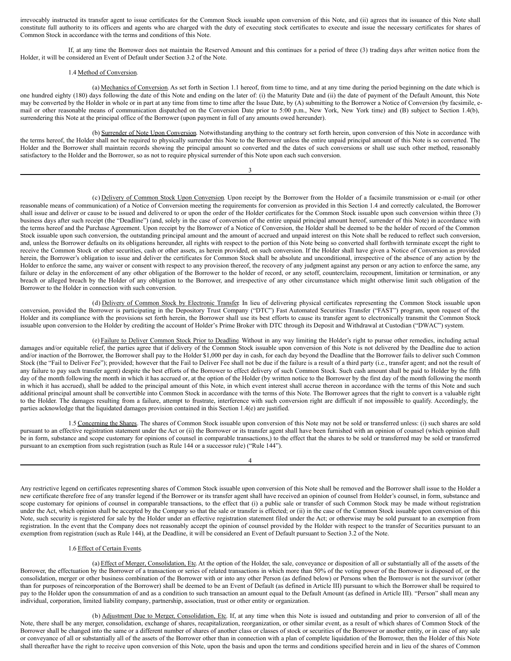irrevocably instructed its transfer agent to issue certificates for the Common Stock issuable upon conversion of this Note, and (ii) agrees that its issuance of this Note shall constitute full authority to its officers and agents who are charged with the duty of executing stock certificates to execute and issue the necessary certificates for shares of Common Stock in accordance with the terms and conditions of this Note.

If, at any time the Borrower does not maintain the Reserved Amount and this continues for a period of three (3) trading days after written notice from the Holder, it will be considered an Event of Default under Section 3.2 of the Note.

## 1.4 Method of Conversion.

(a) Mechanics of Conversion. As set forth in Section 1.1 hereof, from time to time, and at any time during the period beginning on the date which is one hundred eighty (180) days following the date of this Note and ending on the later of: (i) the Maturity Date and (ii) the date of payment of the Default Amount, this Note may be converted by the Holder in whole or in part at any time from time to time after the Issue Date, by (A) submitting to the Borrower a Notice of Conversion (by facsimile, email or other reasonable means of communication dispatched on the Conversion Date prior to 5:00 p.m., New York, New York time) and (B) subject to Section 1.4(b), surrendering this Note at the principal office of the Borrower (upon payment in full of any amounts owed hereunder).

(b) Surrender of Note Upon Conversion. Notwithstanding anything to the contrary set forth herein, upon conversion of this Note in accordance with the terms hereof, the Holder shall not be required to physically surrender this Note to the Borrower unless the entire unpaid principal amount of this Note is so converted. The Holder and the Borrower shall maintain records showing the principal amount so converted and the dates of such conversions or shall use such other method, reasonably satisfactory to the Holder and the Borrower, so as not to require physical surrender of this Note upon each such conversion.

3

(c) Delivery of Common Stock Upon Conversion. Upon receipt by the Borrower from the Holder of a facsimile transmission or e-mail (or other reasonable means of communication) of a Notice of Conversion meeting the requirements for conversion as provided in this Section 1.4 and correctly calculated, the Borrower shall issue and deliver or cause to be issued and delivered to or upon the order of the Holder certificates for the Common Stock issuable upon such conversion within three (3) business days after such receipt (the "Deadline") (and, solely in the case of conversion of the entire unpaid principal amount hereof, surrender of this Note) in accordance with the terms hereof and the Purchase Agreement. Upon receipt by the Borrower of a Notice of Conversion, the Holder shall be deemed to be the holder of record of the Common Stock issuable upon such conversion, the outstanding principal amount and the amount of accrued and unpaid interest on this Note shall be reduced to reflect such conversion, and, unless the Borrower defaults on its obligations hereunder, all rights with respect to the portion of this Note being so converted shall forthwith terminate except the right to receive the Common Stock or other securities, cash or other assets, as herein provided, on such conversion. If the Holder shall have given a Notice of Conversion as provided herein, the Borrower's obligation to issue and deliver the certificates for Common Stock shall be absolute and unconditional, irrespective of the absence of any action by the Holder to enforce the same, any waiver or consent with respect to any provision thereof, the recovery of any judgment against any person or any action to enforce the same, any failure or delay in the enforcement of any other obligation of the Borrower to the holder of record, or any setoff, counterclaim, recoupment, limitation or termination, or any breach or alleged breach by the Holder of any obligation to the Borrower, and irrespective of any other circumstance which might otherwise limit such obligation of the Borrower to the Holder in connection with such conversion.

(d) Delivery of Common Stock by Electronic Transfer. In lieu of delivering physical certificates representing the Common Stock issuable upon conversion, provided the Borrower is participating in the Depository Trust Company ("DTC") Fast Automated Securities Transfer ("FAST") program, upon request of the Holder and its compliance with the provisions set forth herein, the Borrower shall use its best efforts to cause its transfer agent to electronically transmit the Common Stock issuable upon conversion to the Holder by crediting the account of Holder's Prime Broker with DTC through its Deposit and Withdrawal at Custodian ("DWAC") system.

(e) Failure to Deliver Common Stock Prior to Deadline. Without in any way limiting the Holder's right to pursue other remedies, including actual damages and/or equitable relief, the parties agree that if delivery of the Common Stock issuable upon conversion of this Note is not delivered by the Deadline due to action and/or inaction of the Borrower, the Borrower shall pay to the Holder \$1,000 per day in cash, for each day beyond the Deadline that the Borrower fails to deliver such Common Stock (the "Fail to Deliver Fee"); provided; however that the Fail to Deliver Fee shall not be due if the failure is a result of a third party (i.e., transfer agent; and not the result of any failure to pay such transfer agent) despite the best efforts of the Borrower to effect delivery of such Common Stock. Such cash amount shall be paid to Holder by the fifth day of the month following the month in which it has accrued or, at the option of the Holder (by written notice to the Borrower by the first day of the month following the month in which it has accrued), shall be added to the principal amount of this Note, in which event interest shall accrue thereon in accordance with the terms of this Note and such additional principal amount shall be convertible into Common Stock in accordance with the terms of this Note. The Borrower agrees that the right to convert is a valuable right to the Holder. The damages resulting from a failure, attempt to frustrate, interference with such conversion right are difficult if not impossible to qualify. Accordingly, the parties acknowledge that the liquidated damages provision contained in this Section 1.4(e) are justified.

1.5 Concerning the Shares. The shares of Common Stock issuable upon conversion of this Note may not be sold or transferred unless: (i) such shares are sold pursuant to an effective registration statement under the Act or (ii) the Borrower or its transfer agent shall have been furnished with an opinion of counsel (which opinion shall be in form, substance and scope customary for opinions of counsel in comparable transactions,) to the effect that the shares to be sold or transferred may be sold or transferred pursuant to an exemption from such registration (such as Rule 144 or a successor rule) ("Rule 144").

Any restrictive legend on certificates representing shares of Common Stock issuable upon conversion of this Note shall be removed and the Borrower shall issue to the Holder a new certificate therefore free of any transfer legend if the Borrower or its transfer agent shall have received an opinion of counsel from Holder's counsel, in form, substance and scope customary for opinions of counsel in comparable transactions, to the effect that (i) a public sale or transfer of such Common Stock may be made without registration under the Act, which opinion shall be accepted by the Company so that the sale or transfer is effected; or (ii) in the case of the Common Stock issuable upon conversion of this Note, such security is registered for sale by the Holder under an effective registration statement filed under the Act; or otherwise may be sold pursuant to an exemption from registration. In the event that the Company does not reasonably accept the opinion of counsel provided by the Holder with respect to the transfer of Securities pursuant to an exemption from registration (such as Rule 144), at the Deadline, it will be considered an Event of Default pursuant to Section 3.2 of the Note.

## 1.6 Effect of Certain Events.

(a) Effect of Merger, Consolidation, Etc. At the option of the Holder, the sale, conveyance or disposition of all or substantially all of the assets of the Borrower, the effectuation by the Borrower of a transaction or series of related transactions in which more than 50% of the voting power of the Borrower is disposed of, or the consolidation, merger or other business combination of the Borrower with or into any other Person (as defined below) or Persons when the Borrower is not the survivor (other than for purposes of reincorporation of the Borrower) shall be deemed to be an Event of Default (as defined in Article III) pursuant to which the Borrower shall be required to pay to the Holder upon the consummation of and as a condition to such transaction an amount equal to the Default Amount (as defined in Article III). "Person" shall mean any individual, corporation, limited liability company, partnership, association, trust or other entity or organization.

(b) Adjustment Due to Merger, Consolidation, Etc. If, at any time when this Note is issued and outstanding and prior to conversion of all of the Note, there shall be any merger, consolidation, exchange of shares, recapitalization, reorganization, or other similar event, as a result of which shares of Common Stock of the Borrower shall be changed into the same or a different number of shares of another class or classes of stock or securities of the Borrower or another entity, or in case of any sale or conveyance of all or substantially all of the assets of the Borrower other than in connection with a plan of complete liquidation of the Borrower, then the Holder of this Note shall thereafter have the right to receive upon conversion of this Note, upon the basis and upon the terms and conditions specified herein and in lieu of the shares of Common

## 4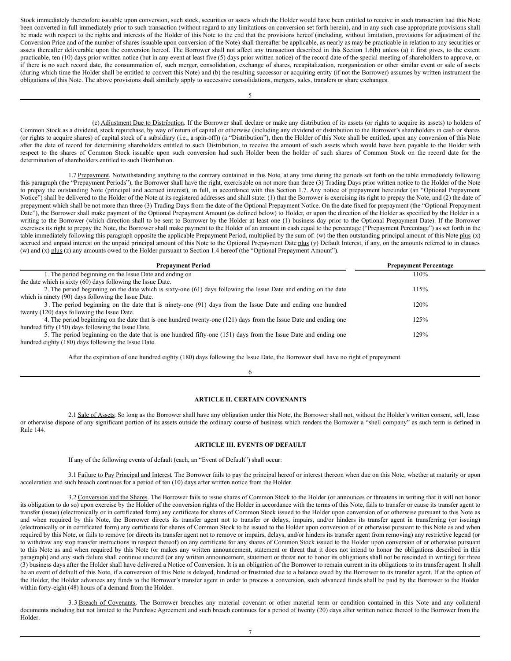<span id="page-4-0"></span>Stock immediately theretofore issuable upon conversion, such stock, securities or assets which the Holder would have been entitled to receive in such transaction had this Note been converted in full immediately prior to such transaction (without regard to any limitations on conversion set forth herein), and in any such case appropriate provisions shall be made with respect to the rights and interests of the Holder of this Note to the end that the provisions hereof (including, without limitation, provisions for adjustment of the Conversion Price and of the number of shares issuable upon conversion of the Note) shall thereafter be applicable, as nearly as may be practicable in relation to any securities or assets thereafter deliverable upon the conversion hereof. The Borrower shall not affect any transaction described in this Section 1.6(b) unless (a) it first gives, to the extent practicable, ten (10) days prior written notice (but in any event at least five (5) days prior written notice) of the record date of the special meeting of shareholders to approve, or if there is no such record date, the consummation of, such merger, consolidation, exchange of shares, recapitalization, reorganization or other similar event or sale of assets (during which time the Holder shall be entitled to convert this Note) and (b) the resulting successor or acquiring entity (if not the Borrower) assumes by written instrument the obligations of this Note. The above provisions shall similarly apply to successive consolidations, mergers, sales, transfers or share exchanges.

(c) Adjustment Due to Distribution. If the Borrower shall declare or make any distribution of its assets (or rights to acquire its assets) to holders of Common Stock as a dividend, stock repurchase, by way of return of capital or otherwise (including any dividend or distribution to the Borrower's shareholders in cash or shares (or rights to acquire shares) of capital stock of a subsidiary (i.e., a spin-off)) (a "Distribution"), then the Holder of this Note shall be entitled, upon any conversion of this Note after the date of record for determining shareholders entitled to such Distribution, to receive the amount of such assets which would have been payable to the Holder with respect to the shares of Common Stock issuable upon such conversion had such Holder been the holder of such shares of Common Stock on the record date for the determination of shareholders entitled to such Distribution.

1.7 Prepayment. Notwithstanding anything to the contrary contained in this Note, at any time during the periods set forth on the table immediately following this paragraph (the "Prepayment Periods"), the Borrower shall have the right, exercisable on not more than three (3) Trading Days prior written notice to the Holder of the Note to prepay the outstanding Note (principal and accrued interest), in full, in accordance with this Section 1.7. Any notice of prepayment hereunder (an "Optional Prepayment Notice") shall be delivered to the Holder of the Note at its registered addresses and shall state: (1) that the Borrower is exercising its right to prepay the Note, and (2) the date of prepayment which shall be not more than three (3) Trading Days from the date of the Optional Prepayment Notice. On the date fixed for prepayment (the "Optional Prepayment Date"), the Borrower shall make payment of the Optional Prepayment Amount (as defined below) to Holder, or upon the direction of the Holder as specified by the Holder in a writing to the Borrower (which direction shall to be sent to Borrower by the Holder at least one (1) business day prior to the Optional Prepayment Date). If the Borrower exercises its right to prepay the Note, the Borrower shall make payment to the Holder of an amount in cash equal to the percentage ("Prepayment Percentage") as set forth in the table immediately following this paragraph opposite the applicable Prepayment Period, multiplied by the sum of: (w) the then outstanding principal amount of this Note plus (x) accrued and unpaid interest on the unpaid principal amount of this Note to the Optional Prepayment Date plus (y) Default Interest, if any, on the amounts referred to in clauses (w) and (x) plus (z) any amounts owed to the Holder pursuant to Section 1.4 hereof (the "Optional Prepayment Amount").

| <b>Prepayment Period</b>                                                                                         | <b>Prepayment Percentage</b> |
|------------------------------------------------------------------------------------------------------------------|------------------------------|
| 1. The period beginning on the Issue Date and ending on                                                          | 110%                         |
| the date which is sixty (60) days following the Issue Date.                                                      |                              |
| 2. The period beginning on the date which is sixty-one (61) days following the Issue Date and ending on the date | 115%                         |
| which is ninety (90) days following the Issue Date.                                                              |                              |
| 3. The period beginning on the date that is ninety-one (91) days from the Issue Date and ending one hundred      | 120%                         |
| twenty (120) days following the Issue Date.                                                                      |                              |
| 4. The period beginning on the date that is one hundred twenty-one (121) days from the Issue Date and ending one | 125%                         |
| hundred fifty (150) days following the Issue Date.                                                               |                              |
| 5. The period beginning on the date that is one hundred fifty-one (151) days from the Issue Date and ending one  | 129%                         |
| hundred eighty (180) days following the Issue Date.                                                              |                              |

After the expiration of one hundred eighty (180) days following the Issue Date, the Borrower shall have no right of prepayment.

6

## **ARTICLE II. CERTAIN COVENANTS**

2.1 Sale of Assets. So long as the Borrower shall have any obligation under this Note, the Borrower shall not, without the Holder's written consent, sell, lease or otherwise dispose of any significant portion of its assets outside the ordinary course of business which renders the Borrower a "shell company" as such term is defined in Rule 144.

## **ARTICLE III. EVENTS OF DEFAULT**

If any of the following events of default (each, an "Event of Default") shall occur:

3.1 Failure to Pay Principal and Interest. The Borrower fails to pay the principal hereof or interest thereon when due on this Note, whether at maturity or upon acceleration and such breach continues for a period of ten (10) days after written notice from the Holder.

3.2 Conversion and the Shares. The Borrower fails to issue shares of Common Stock to the Holder (or announces or threatens in writing that it will not honor its obligation to do so) upon exercise by the Holder of the conversion rights of the Holder in accordance with the terms of this Note, fails to transfer or cause its transfer agent to transfer (issue) (electronically or in certificated form) any certificate for shares of Common Stock issued to the Holder upon conversion of or otherwise pursuant to this Note as and when required by this Note, the Borrower directs its transfer agent not to transfer or delays, impairs, and/or hinders its transfer agent in transferring (or issuing) (electronically or in certificated form) any certificate for shares of Common Stock to be issued to the Holder upon conversion of or otherwise pursuant to this Note as and when required by this Note, or fails to remove (or directs its transfer agent not to remove or impairs, delays, and/or hinders its transfer agent from removing) any restrictive legend (or to withdraw any stop transfer instructions in respect thereof) on any certificate for any shares of Common Stock issued to the Holder upon conversion of or otherwise pursuant to this Note as and when required by this Note (or makes any written announcement, statement or threat that it does not intend to honor the obligations described in this paragraph) and any such failure shall continue uncured (or any written announcement, statement or threat not to honor its obligations shall not be rescinded in writing) for three (3) business days after the Holder shall have delivered a Notice of Conversion. It is an obligation of the Borrower to remain current in its obligations to its transfer agent. It shall be an event of default of this Note, if a conversion of this Note is delayed, hindered or frustrated due to a balance owed by the Borrower to its transfer agent. If at the option of the Holder, the Holder advances any funds to the Borrower's transfer agent in order to process a conversion, such advanced funds shall be paid by the Borrower to the Holder within forty-eight (48) hours of a demand from the Holder.

3.3 Breach of Covenants. The Borrower breaches any material covenant or other material term or condition contained in this Note and any collateral documents including but not limited to the Purchase Agreement and such breach continues for a period of twenty (20) days after written notice thereof to the Borrower from the Holder.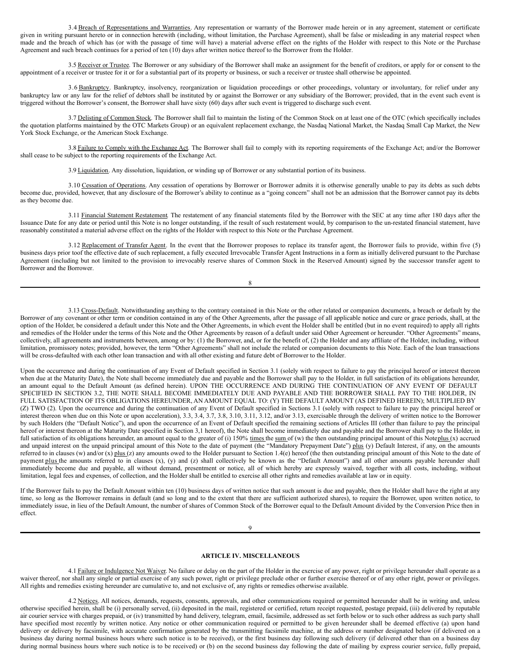3.4 Breach of Representations and Warranties. Any representation or warranty of the Borrower made herein or in any agreement, statement or certificate given in writing pursuant hereto or in connection herewith (including, without limitation, the Purchase Agreement), shall be false or misleading in any material respect when made and the breach of which has (or with the passage of time will have) a material adverse effect on the rights of the Holder with respect to this Note or the Purchase Agreement and such breach continues for a period of ten (10) days after written notice thereof to the Borrower from the Holder.

3.5 Receiver or Trustee. The Borrower or any subsidiary of the Borrower shall make an assignment for the benefit of creditors, or apply for or consent to the appointment of a receiver or trustee for it or for a substantial part of its property or business, or such a receiver or trustee shall otherwise be appointed.

3.6 Bankruptcy. Bankruptcy, insolvency, reorganization or liquidation proceedings or other proceedings, voluntary or involuntary, for relief under any bankruptcy law or any law for the relief of debtors shall be instituted by or against the Borrower or any subsidiary of the Borrower; provided, that in the event such event is triggered without the Borrower's consent, the Borrower shall have sixty (60) days after such event is triggered to discharge such event.

3.7 Delisting of Common Stock. The Borrower shall fail to maintain the listing of the Common Stock on at least one of the OTC (which specifically includes the quotation platforms maintained by the OTC Markets Group) or an equivalent replacement exchange, the Nasdaq National Market, the Nasdaq Small Cap Market, the New York Stock Exchange, or the American Stock Exchange.

3.8 Failure to Comply with the Exchange Act. The Borrower shall fail to comply with its reporting requirements of the Exchange Act; and/or the Borrower shall cease to be subject to the reporting requirements of the Exchange Act.

3.9 Liquidation. Any dissolution, liquidation, or winding up of Borrower or any substantial portion of its business.

3.10 Cessation of Operations. Any cessation of operations by Borrower or Borrower admits it is otherwise generally unable to pay its debts as such debts become due, provided, however, that any disclosure of the Borrower's ability to continue as a "going concern" shall not be an admission that the Borrower cannot pay its debts as they become due.

3.11 Financial Statement Restatement. The restatement of any financial statements filed by the Borrower with the SEC at any time after 180 days after the Issuance Date for any date or period until this Note is no longer outstanding, if the result of such restatement would, by comparison to the un-restated financial statement, have reasonably constituted a material adverse effect on the rights of the Holder with respect to this Note or the Purchase Agreement.

3.12 Replacement of Transfer Agent. In the event that the Borrower proposes to replace its transfer agent, the Borrower fails to provide, within five (5) business days prior toof the effective date of such replacement, a fully executed Irrevocable Transfer Agent Instructions in a form as initially delivered pursuant to the Purchase Agreement (including but not limited to the provision to irrevocably reserve shares of Common Stock in the Reserved Amount) signed by the successor transfer agent to Borrower and the Borrower.

8

3.13 Cross-Default. Notwithstanding anything to the contrary contained in this Note or the other related or companion documents, a breach or default by the Borrower of any covenant or other term or condition contained in any of the Other Agreements, after the passage of all applicable notice and cure or grace periods, shall, at the option of the Holder, be considered a default under this Note and the Other Agreements, in which event the Holder shall be entitled (but in no event required) to apply all rights and remedies of the Holder under the terms of this Note and the Other Agreements by reason of a default under said Other Agreement or hereunder. "Other Agreements" means, collectively, all agreements and instruments between, among or by: (1) the Borrower, and, or for the benefit of, (2) the Holder and any affiliate of the Holder, including, without limitation, promissory notes; provided, however, the term "Other Agreements" shall not include the related or companion documents to this Note. Each of the loan transactions will be cross-defaulted with each other loan transaction and with all other existing and future debt of Borrower to the Holder.

Upon the occurrence and during the continuation of any Event of Default specified in Section 3.1 (solely with respect to failure to pay the principal hereof or interest thereon when due at the Maturity Date), the Note shall become immediately due and payable and the Borrower shall pay to the Holder, in full satisfaction of its obligations hereunder, an amount equal to the Default Amount (as defined herein). UPON THE OCCURRENCE AND DURING THE CONTINUATION OF ANY EVENT OF DEFAULT SPECIFIED IN SECTION 3.2, THE NOTE SHALL BECOME IMMEDIATELY DUE AND PAYABLE AND THE BORROWER SHALL PAY TO THE HOLDER, IN FULL SATISFACTION OF ITS OBLIGATIONS HEREUNDER, AN AMOUNT EQUAL TO: (Y) THE DEFAULT AMOUNT (AS DEFINED HEREIN); MULTIPLIED BY (Z) TWO (2). Upon the occurrence and during the continuation of any Event of Default specified in Sections 3.1 (solely with respect to failure to pay the principal hereof or interest thereon when due on this Note or upon acceleration), 3.3, 3.4, 3.7, 3.8, 3.10, 3.11, 3.12, and/or 3.13, exercisable through the delivery of written notice to the Borrower by such Holders (the "Default Notice"), and upon the occurrence of an Event of Default specified the remaining sections of Articles III (other than failure to pay the principal hereof or interest thereon at the Maturity Date specified in Section 3,1 hereof), the Note shall become immediately due and payable and the Borrower shall pay to the Holder, in full satisfaction of its obligations hereunder, an amount equal to the greater of (i) 150% times the sum of (w) the then outstanding principal amount of this Noteplus (x) accrued and unpaid interest on the unpaid principal amount of this Note to the date of payment (the "Mandatory Prepayment Date") plus (y) Default Interest, if any, on the amounts referred to in clauses (w) and/or  $(x)$  plus  $(z)$  any amounts owed to the Holder pursuant to Section 1.4(e) hereof (the then outstanding principal amount of this Note to the date of payment plus the amounts referred to in clauses (x), (y) and (z) shall collectively be known as the "Default Amount") and all other amounts payable hereunder shall immediately become due and payable, all without demand, presentment or notice, all of which hereby are expressly waived, together with all costs, including, without limitation, legal fees and expenses, of collection, and the Holder shall be entitled to exercise all other rights and remedies available at law or in equity.

If the Borrower fails to pay the Default Amount within ten (10) business days of written notice that such amount is due and payable, then the Holder shall have the right at any time, so long as the Borrower remains in default (and so long and to the extent that there are sufficient authorized shares), to require the Borrower, upon written notice, to immediately issue, in lieu of the Default Amount, the number of shares of Common Stock of the Borrower equal to the Default Amount divided by the Conversion Price then in effect.

 $\Omega$ 

### **ARTICLE IV. MISCELLANEOUS**

4.1 Failure or Indulgence Not Waiver. No failure or delay on the part of the Holder in the exercise of any power, right or privilege hereunder shall operate as a waiver thereof, nor shall any single or partial exercise of any such power, right or privilege preclude other or further exercise thereof or of any other right, power or privileges. All rights and remedies existing hereunder are cumulative to, and not exclusive of, any rights or remedies otherwise available.

4.2 Notices. All notices, demands, requests, consents, approvals, and other communications required or permitted hereunder shall be in writing and, unless otherwise specified herein, shall be (i) personally served, (ii) deposited in the mail, registered or certified, return receipt requested, postage prepaid, (iii) delivered by reputable air courier service with charges prepaid, or (iv) transmitted by hand delivery, telegram, email, facsimile, addressed as set forth below or to such other address as such party shall have specified most recently by written notice. Any notice or other communication required or permitted to be given hereunder shall be deemed effective (a) upon hand delivery or delivery by facsimile, with accurate confirmation generated by the transmitting facsimile machine, at the address or number designated below (if delivered on a business day during normal business hours where such notice is to be received), or the first business day following such delivery (if delivered other than on a business day during normal business hours where such notice is to be received) or (b) on the second business day following the date of mailing by express courier service, fully prepaid,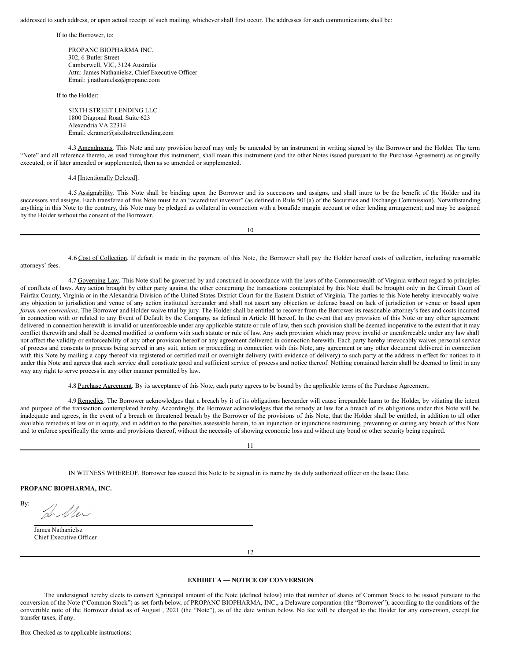addressed to such address, or upon actual receipt of such mailing, whichever shall first occur. The addresses for such communications shall be:

If to the Borrower, to:

PROPANC BIOPHARMA INC. 302, 6 Butler Street Camberwell, VIC, 3124 Australia Attn: James Nathanielsz, Chief Executive Officer Email: j.nathanielsz@propanc.com

If to the Holder:

SIXTH STREET LENDING LLC 1800 Diagonal Road, Suite 623 Alexandria VA 22314 Email: ckramer@sixthstreetlending.com

4.3 Amendments. This Note and any provision hereof may only be amended by an instrument in writing signed by the Borrower and the Holder. The term "Note" and all reference thereto, as used throughout this instrument, shall mean this instrument (and the other Notes issued pursuant to the Purchase Agreement) as originally executed, or if later amended or supplemented, then as so amended or supplemented.

4.4 [Intentionally Deleted].

4.5 Assignability. This Note shall be binding upon the Borrower and its successors and assigns, and shall inure to be the benefit of the Holder and its successors and assigns. Each transferee of this Note must be an "accredited investor" (as defined in Rule 501(a) of the Securities and Exchange Commission). Notwithstanding anything in this Note to the contrary, this Note may be pledged as collateral in connection with a bonafide margin account or other lending arrangement; and may be assigned by the Holder without the consent of the Borrower.

10

4.6 Cost of Collection. If default is made in the payment of this Note, the Borrower shall pay the Holder hereof costs of collection, including reasonable attorneys' fees.

4.7 Governing Law. This Note shall be governed by and construed in accordance with the laws of the Commonwealth of Virginia without regard to principles of conflicts of laws. Any action brought by either party against the other concerning the transactions contemplated by this Note shall be brought only in the Circuit Court of Fairfax County, Virginia or in the Alexandria Division of the United States District Court for the Eastern District of Virginia. The parties to this Note hereby irrevocably waive any objection to jurisdiction and venue of any action instituted hereunder and shall not assert any objection or defense based on lack of jurisdiction or venue or based upon *forum non conveniens*. The Borrower and Holder waive trial by jury. The Holder shall be entitled to recover from the Borrower its reasonable attorney's fees and costs incurred in connection with or related to any Event of Default by the Company, as defined in Article III hereof. In the event that any provision of this Note or any other agreement delivered in connection herewith is invalid or unenforceable under any applicable statute or rule of law, then such provision shall be deemed inoperative to the extent that it may conflict therewith and shall be deemed modified to conform with such statute or rule of law. Any such provision which may prove invalid or unenforceable under any law shall not affect the validity or enforceability of any other provision hereof or any agreement delivered in connection herewith. Each party hereby irrevocably waives personal service of process and consents to process being served in any suit, action or proceeding in connection with this Note, any agreement or any other document delivered in connection with this Note by mailing a copy thereof via registered or certified mail or overnight delivery (with evidence of delivery) to such party at the address in effect for notices to it under this Note and agrees that such service shall constitute good and sufficient service of process and notice thereof. Nothing contained herein shall be deemed to limit in any way any right to serve process in any other manner permitted by law.

4.8 Purchase Agreement. By its acceptance of this Note, each party agrees to be bound by the applicable terms of the Purchase Agreement.

4.9 Remedies. The Borrower acknowledges that a breach by it of its obligations hereunder will cause irreparable harm to the Holder, by vitiating the intent and purpose of the transaction contemplated hereby. Accordingly, the Borrower acknowledges that the remedy at law for a breach of its obligations under this Note will be inadequate and agrees, in the event of a breach or threatened breach by the Borrower of the provisions of this Note, that the Holder shall be entitled, in addition to all other available remedies at law or in equity, and in addition to the penalties assessable herein, to an injunction or injunctions restraining, preventing or curing any breach of this Note and to enforce specifically the terms and provisions thereof, without the necessity of showing economic loss and without any bond or other security being required.

11

IN WITNESS WHEREOF, Borrower has caused this Note to be signed in its name by its duly authorized officer on the Issue Date.

### **PROPANC BIOPHARMA, INC.**

By:

James Nathanielsz Chief Executive Officer

12

#### **EXHIBIT A — NOTICE OF CONVERSION**

The undersigned hereby elects to convert \$ principal amount of the Note (defined below) into that number of shares of Common Stock to be issued pursuant to the conversion of the Note ("Common Stock") as set forth below, of PROPANC BIOPHARMA, INC., a Delaware corporation (the "Borrower"), according to the conditions of the convertible note of the Borrower dated as of August , 2021 (the "Note"), as of the date written below. No fee will be charged to the Holder for any conversion, except for transfer taxes, if any.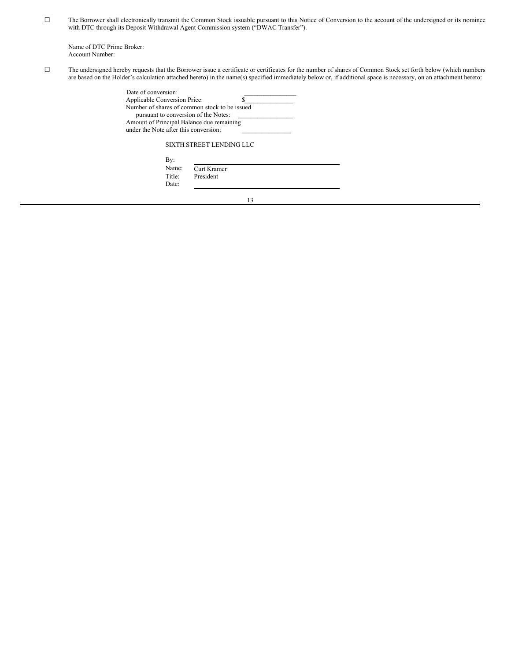☐ The Borrower shall electronically transmit the Common Stock issuable pursuant to this Notice of Conversion to the account of the undersigned or its nominee with DTC through its Deposit Withdrawal Agent Commission system ("DWAC Transfer").

Name of DTC Prime Broker: Account Number:

☐ The undersigned hereby requests that the Borrower issue a certificate or certificates for the number of shares of Common Stock set forth below (which numbers are based on the Holder's calculation attached hereto) in the name(s) specified immediately below or, if additional space is necessary, on an attachment hereto:

| Date of conversion:                           |  |
|-----------------------------------------------|--|
| <b>Applicable Conversion Price:</b>           |  |
| Number of shares of common stock to be issued |  |
| pursuant to conversion of the Notes:          |  |
| Amount of Principal Balance due remaining     |  |
| under the Note after this conversion:         |  |
|                                               |  |

## SIXTH STREET LENDING LLC

| By:    |             |  |
|--------|-------------|--|
| Name:  | Curt Kramer |  |
| Title: | President   |  |
| Date:  |             |  |

13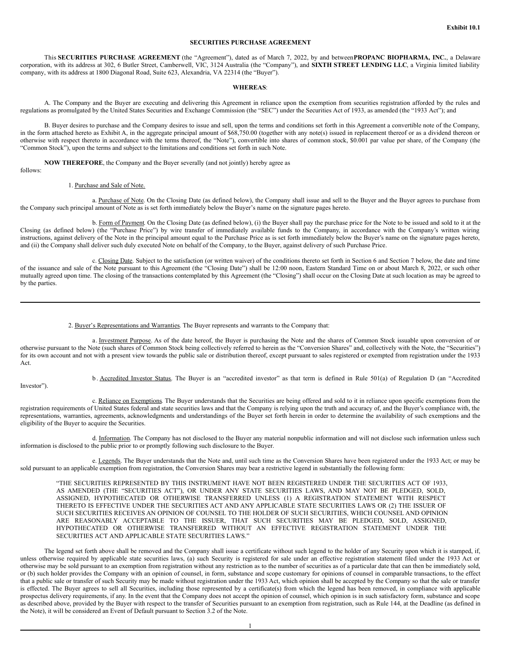## **SECURITIES PURCHASE AGREEMENT**

This **SECURITIES PURCHASE AGREEMENT** (the "Agreement"), dated as of March 7, 2022, by and between**PROPANC BIOPHARMA, INC.**, a Delaware corporation, with its address at 302, 6 Butler Street, Camberwell, VIC, 3124 Australia (the "Company"), and **SIXTH STREET LENDING LLC**, a Virginia limited liability company, with its address at 1800 Diagonal Road, Suite 623, Alexandria, VA 22314 (the "Buyer").

#### **WHEREAS**:

A. The Company and the Buyer are executing and delivering this Agreement in reliance upon the exemption from securities registration afforded by the rules and regulations as promulgated by the United States Securities and Exchange Commission (the "SEC") under the Securities Act of 1933, as amended (the "1933 Act"); and

B. Buyer desires to purchase and the Company desires to issue and sell, upon the terms and conditions set forth in this Agreement a convertible note of the Company, in the form attached hereto as Exhibit A, in the aggregate principal amount of \$68,750.00 (together with any note(s) issued in replacement thereof or as a dividend thereon or otherwise with respect thereto in accordance with the terms thereof, the "Note"), convertible into shares of common stock, \$0.001 par value per share, of the Company (the "Common Stock"), upon the terms and subject to the limitations and conditions set forth in such Note.

**NOW THEREFORE**, the Company and the Buyer severally (and not jointly) hereby agree as

follows:

#### 1. Purchase and Sale of Note.

a. Purchase of Note. On the Closing Date (as defined below), the Company shall issue and sell to the Buyer and the Buyer agrees to purchase from the Company such principal amount of Note as is set forth immediately below the Buyer's name on the signature pages hereto.

b. Form of Payment. On the Closing Date (as defined below), (i) the Buyer shall pay the purchase price for the Note to be issued and sold to it at the Closing (as defined below) (the "Purchase Price") by wire transfer of immediately available funds to the Company, in accordance with the Company's written wiring instructions, against delivery of the Note in the principal amount equal to the Purchase Price as is set forth immediately below the Buyer's name on the signature pages hereto, and (ii) the Company shall deliver such duly executed Note on behalf of the Company, to the Buyer, against delivery of such Purchase Price.

c. Closing Date. Subject to the satisfaction (or written waiver) of the conditions thereto set forth in Section 6 and Section 7 below, the date and time of the issuance and sale of the Note pursuant to this Agreement (the "Closing Date") shall be 12:00 noon, Eastern Standard Time on or about March 8, 2022, or such other mutually agreed upon time. The closing of the transactions contemplated by this Agreement (the "Closing") shall occur on the Closing Date at such location as may be agreed to by the parties.

#### 2. Buyer's Representations and Warranties. The Buyer represents and warrants to the Company that:

a. Investment Purpose. As of the date hereof, the Buyer is purchasing the Note and the shares of Common Stock issuable upon conversion of or otherwise pursuant to the Note (such shares of Common Stock being collectively referred to herein as the "Conversion Shares" and, collectively with the Note, the "Securities") for its own account and not with a present view towards the public sale or distribution thereof, except pursuant to sales registered or exempted from registration under the 1933 Act.

Investor").

b . Accredited Investor Status. The Buyer is an "accredited investor" as that term is defined in Rule 501(a) of Regulation D (an "Accredited

c. Reliance on Exemptions. The Buyer understands that the Securities are being offered and sold to it in reliance upon specific exemptions from the registration requirements of United States federal and state securities laws and that the Company is relying upon the truth and accuracy of, and the Buyer's compliance with, the representations, warranties, agreements, acknowledgments and understandings of the Buyer set forth herein in order to determine the availability of such exemptions and the eligibility of the Buyer to acquire the Securities.

d. Information. The Company has not disclosed to the Buyer any material nonpublic information and will not disclose such information unless such information is disclosed to the public prior to or promptly following such disclosure to the Buyer.

e. Legends. The Buyer understands that the Note and, until such time as the Conversion Shares have been registered under the 1933 Act; or may be sold pursuant to an applicable exemption from registration, the Conversion Shares may bear a restrictive legend in substantially the following form:

"THE SECURITIES REPRESENTED BY THIS INSTRUMENT HAVE NOT BEEN REGISTERED UNDER THE SECURITIES ACT OF 1933, AS AMENDED (THE "SECURITIES ACT"), OR UNDER ANY STATE SECURITIES LAWS, AND MAY NOT BE PLEDGED, SOLD, ASSIGNED, HYPOTHECATED OR OTHERWISE TRANSFERRED UNLESS (1) A REGISTRATION STATEMENT WITH RESPECT THERETO IS EFFECTIVE UNDER THE SECURITIES ACT AND ANY APPLICABLE STATE SECURITIES LAWS OR (2) THE ISSUER OF SUCH SECURITIES RECEIVES AN OPINION OF COUNSEL TO THE HOLDER OF SUCH SECURITIES, WHICH COUNSEL AND OPINION ARE REASONABLY ACCEPTABLE TO THE ISSUER, THAT SUCH SECURITIES MAY BE PLEDGED, SOLD, ASSIGNED, HYPOTHECATED OR OTHERWISE TRANSFERRED WITHOUT AN EFFECTIVE REGISTRATION STATEMENT UNDER THE SECURITIES ACT AND APPLICABLE STATE SECURITIES LAWS."

The legend set forth above shall be removed and the Company shall issue a certificate without such legend to the holder of any Security upon which it is stamped, if, unless otherwise required by applicable state securities laws, (a) such Security is registered for sale under an effective registration statement filed under the 1933 Act or otherwise may be sold pursuant to an exemption from registration without any restriction as to the number of securities as of a particular date that can then be immediately sold, or (b) such holder provides the Company with an opinion of counsel, in form, substance and scope customary for opinions of counsel in comparable transactions, to the effect that a public sale or transfer of such Security may be made without registration under the 1933 Act, which opinion shall be accepted by the Company so that the sale or transfer is effected. The Buyer agrees to sell all Securities, including those represented by a certificate(s) from which the legend has been removed, in compliance with applicable prospectus delivery requirements, if any. In the event that the Company does not accept the opinion of counsel, which opinion is in such satisfactory form, substance and scope as described above, provided by the Buyer with respect to the transfer of Securities pursuant to an exemption from registration, such as Rule 144, at the Deadline (as defined in the Note), it will be considered an Event of Default pursuant to Section 3.2 of the Note.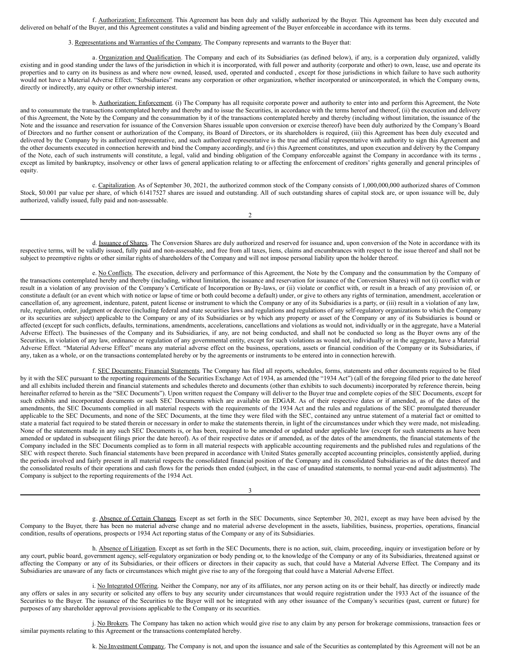f. Authorization; Enforcement. This Agreement has been duly and validly authorized by the Buyer. This Agreement has been duly executed and delivered on behalf of the Buyer, and this Agreement constitutes a valid and binding agreement of the Buyer enforceable in accordance with its terms.

#### 3. Representations and Warranties of the Company. The Company represents and warrants to the Buyer that:

a. Organization and Qualification. The Company and each of its Subsidiaries (as defined below), if any, is a corporation duly organized, validly existing and in good standing under the laws of the jurisdiction in which it is incorporated, with full power and authority (corporate and other) to own, lease, use and operate its properties and to carry on its business as and where now owned, leased, used, operated and conducted , except for those jurisdictions in which failure to have such authority would not have a Material Adverse Effect. "Subsidiaries" means any corporation or other organization, whether incorporated or unincorporated, in which the Company owns, directly or indirectly, any equity or other ownership interest.

b. Authorization; Enforcement. (i) The Company has all requisite corporate power and authority to enter into and perform this Agreement, the Note and to consummate the transactions contemplated hereby and thereby and to issue the Securities, in accordance with the terms hereof and thereof, (ii) the execution and delivery of this Agreement, the Note by the Company and the consummation by it of the transactions contemplated hereby and thereby (including without limitation, the issuance of the Note and the issuance and reservation for issuance of the Conversion Shares issuable upon conversion or exercise thereof) have been duly authorized by the Company's Board of Directors and no further consent or authorization of the Company, its Board of Directors, or its shareholders is required, (iii) this Agreement has been duly executed and delivered by the Company by its authorized representative, and such authorized representative is the true and official representative with authority to sign this Agreement and the other documents executed in connection herewith and bind the Company accordingly, and (iv) this Agreement constitutes, and upon execution and delivery by the Company of the Note, each of such instruments will constitute, a legal, valid and binding obligation of the Company enforceable against the Company in accordance with its terms , except as limited by bankruptcy, insolvency or other laws of general application relating to or affecting the enforcement of creditors' rights generally and general principles of equity.

c. Capitalization. As of September 30, 2021, the authorized common stock of the Company consists of 1,000,000,000 authorized shares of Common Stock, \$0.001 par value per share, of which 61417527 shares are issued and outstanding. All of such outstanding shares of capital stock are, or upon issuance will be, duly authorized, validly issued, fully paid and non-assessable.

2

d. Issuance of Shares. The Conversion Shares are duly authorized and reserved for issuance and, upon conversion of the Note in accordance with its respective terms, will be validly issued, fully paid and non-assessable, and free from all taxes, liens, claims and encumbrances with respect to the issue thereof and shall not be subject to preemptive rights or other similar rights of shareholders of the Company and will not impose personal liability upon the holder thereof.

e. No Conflicts. The execution, delivery and performance of this Agreement, the Note by the Company and the consummation by the Company of the transactions contemplated hereby and thereby (including, without limitation, the issuance and reservation for issuance of the Conversion Shares) will not (i) conflict with or result in a violation of any provision of the Company's Certificate of Incorporation or By-laws, or (ii) violate or conflict with, or result in a breach of any provision of, or constitute a default (or an event which with notice or lapse of time or both could become a default) under, or give to others any rights of termination, amendment, acceleration or cancellation of, any agreement, indenture, patent, patent license or instrument to which the Company or any of its Subsidiaries is a party, or (iii) result in a violation of any law, rule, regulation, order, judgment or decree (including federal and state securities laws and regulations and regulations of any self-regulatory organizations to which the Company or its securities are subject) applicable to the Company or any of its Subsidiaries or by which any property or asset of the Company or any of its Subsidiaries is bound or affected (except for such conflicts, defaults, terminations, amendments, accelerations, cancellations and violations as would not, individually or in the aggregate, have a Material Adverse Effect). The businesses of the Company and its Subsidiaries, if any, are not being conducted, and shall not be conducted so long as the Buyer owns any of the Securities, in violation of any law, ordinance or regulation of any governmental entity, except for such violations as would not, individually or in the aggregate, have a Material Adverse Effect. "Material Adverse Effect" means any material adverse effect on the business, operations, assets or financial condition of the Company or its Subsidiaries, if any, taken as a whole, or on the transactions contemplated hereby or by the agreements or instruments to be entered into in connection herewith.

f. SEC Documents; Financial Statements. The Company has filed all reports, schedules, forms, statements and other documents required to be filed by it with the SEC pursuant to the reporting requirements of the Securities Exchange Act of 1934, as amended (the "1934 Act") (all of the foregoing filed prior to the date hereof and all exhibits included therein and financial statements and schedules thereto and documents (other than exhibits to such documents) incorporated by reference therein, being hereinafter referred to herein as the "SEC Documents"). Upon written request the Company will deliver to the Buyer true and complete copies of the SEC Documents, except for such exhibits and incorporated documents or such SEC Documents which are available on EDGAR. As of their respective dates or if amended, as of the dates of the amendments, the SEC Documents complied in all material respects with the requirements of the 1934 Act and the rules and regulations of the SEC promulgated thereunder applicable to the SEC Documents, and none of the SEC Documents, at the time they were filed with the SEC, contained any untrue statement of a material fact or omitted to state a material fact required to be stated therein or necessary in order to make the statements therein, in light of the circumstances under which they were made, not misleading. None of the statements made in any such SEC Documents is, or has been, required to be amended or updated under applicable law (except for such statements as have been amended or updated in subsequent filings prior the date hereof). As of their respective dates or if amended, as of the dates of the amendments, the financial statements of the Company included in the SEC Documents complied as to form in all material respects with applicable accounting requirements and the published rules and regulations of the SEC with respect thereto. Such financial statements have been prepared in accordance with United States generally accepted accounting principles, consistently applied, during the periods involved and fairly present in all material respects the consolidated financial position of the Company and its consolidated Subsidiaries as of the dates thereof and the consolidated results of their operations and cash flows for the periods then ended (subject, in the case of unaudited statements, to normal year-end audit adjustments). The Company is subject to the reporting requirements of the 1934 Act.

g. Absence of Certain Changes. Except as set forth in the SEC Documents, since September 30, 2021, except as may have been advised by the Company to the Buyer, there has been no material adverse change and no material adverse development in the assets, liabilities, business, properties, operations, financial condition, results of operations, prospects or 1934 Act reporting status of the Company or any of its Subsidiaries.

3

h. Absence of Litigation. Except as set forth in the SEC Documents, there is no action, suit, claim, proceeding, inquiry or investigation before or by any court, public board, government agency, self-regulatory organization or body pending or, to the knowledge of the Company or any of its Subsidiaries, threatened against or affecting the Company or any of its Subsidiaries, or their officers or directors in their capacity as such, that could have a Material Adverse Effect. The Company and its Subsidiaries are unaware of any facts or circumstances which might give rise to any of the foregoing that could have a Material Adverse Effect.

i. No Integrated Offering. Neither the Company, nor any of its affiliates, nor any person acting on its or their behalf, has directly or indirectly made any offers or sales in any security or solicited any offers to buy any security under circumstances that would require registration under the 1933 Act of the issuance of the Securities to the Buyer. The issuance of the Securities to the Buyer will not be integrated with any other issuance of the Company's securities (past, current or future) for purposes of any shareholder approval provisions applicable to the Company or its securities.

j. No Brokers. The Company has taken no action which would give rise to any claim by any person for brokerage commissions, transaction fees or similar payments relating to this Agreement or the transactions contemplated hereby.

k. No Investment Company. The Company is not, and upon the issuance and sale of the Securities as contemplated by this Agreement will not be an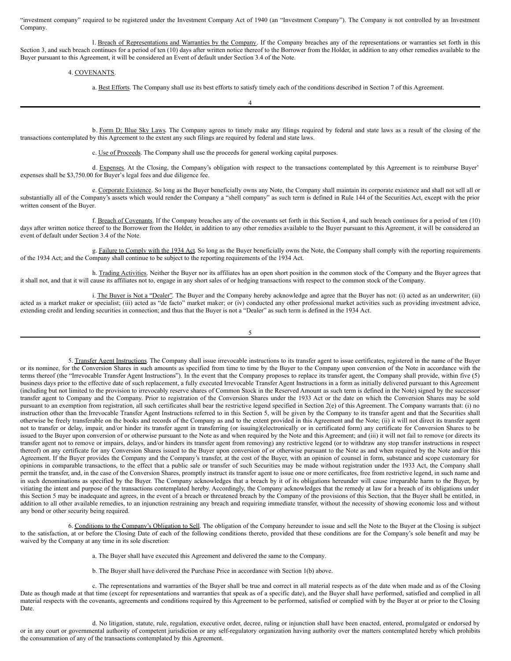<span id="page-10-0"></span>"investment company" required to be registered under the Investment Company Act of 1940 (an "Investment Company"). The Company is not controlled by an Investment Company.

l. Breach of Representations and Warranties by the Company. If the Company breaches any of the representations or warranties set forth in this Section 3, and such breach continues for a period of ten (10) days after written notice thereof to the Borrower from the Holder, in addition to any other remedies available to the Buyer pursuant to this Agreement, it will be considered an Event of default under Section 3.4 of the Note.

4. COVENANTS.

a. Best Efforts. The Company shall use its best efforts to satisfy timely each of the conditions described in Section 7 of this Agreement.

b. Form D; Blue Sky Laws. The Company agrees to timely make any filings required by federal and state laws as a result of the closing of the transactions contemplated by this Agreement to the extent any such filings are required by federal and state laws.

4

c. Use of Proceeds. The Company shall use the proceeds for general working capital purposes.

d. Expenses. At the Closing, the Company's obligation with respect to the transactions contemplated by this Agreement is to reimburse Buyer' expenses shall be \$3,750.00 for Buyer's legal fees and due diligence fee.

e. Corporate Existence. So long as the Buyer beneficially owns any Note, the Company shall maintain its corporate existence and shall not sell all or substantially all of the Company's assets which would render the Company a "shell company" as such term is defined in Rule 144 of the Securities Act, except with the prior written consent of the Buyer.

f. Breach of Covenants. If the Company breaches any of the covenants set forth in this Section 4, and such breach continues for a period of ten (10) days after written notice thereof to the Borrower from the Holder, in addition to any other remedies available to the Buyer pursuant to this Agreement, it will be considered an event of default under Section 3.4 of the Note.

g. Failure to Comply with the 1934 Act. So long as the Buyer beneficially owns the Note, the Company shall comply with the reporting requirements of the 1934 Act; and the Company shall continue to be subject to the reporting requirements of the 1934 Act.

h. Trading Activities. Neither the Buyer nor its affiliates has an open short position in the common stock of the Company and the Buyer agrees that it shall not, and that it will cause its affiliates not to, engage in any short sales of or hedging transactions with respect to the common stock of the Company.

i. The Buyer is Not a "Dealer". The Buyer and the Company hereby acknowledge and agree that the Buyer has not: (i) acted as an underwriter; (ii) acted as a market maker or specialist; (iii) acted as "de facto" market maker; or (iv) conducted any other professional market activities such as providing investment advice, extending credit and lending securities in connection; and thus that the Buyer is not a "Dealer" as such term is defined in the 1934 Act.

5. Transfer Agent Instructions. The Company shall issue irrevocable instructions to its transfer agent to issue certificates, registered in the name of the Buyer or its nominee, for the Conversion Shares in such amounts as specified from time to time by the Buyer to the Company upon conversion of the Note in accordance with the terms thereof (the "Irrevocable Transfer Agent Instructions"). In the event that the Company proposes to replace its transfer agent, the Company shall provide, within five (5) business days prior to the effective date of such replacement, a fully executed Irrevocable Transfer Agent Instructions in a form as initially delivered pursuant to this Agreement (including but not limited to the provision to irrevocably reserve shares of Common Stock in the Reserved Amount as such term is defined in the Note) signed by the successor transfer agent to Company and the Company. Prior to registration of the Conversion Shares under the 1933 Act or the date on which the Conversion Shares may be sold pursuant to an exemption from registration, all such certificates shall bear the restrictive legend specified in Section 2(e) of this Agreement. The Company warrants that: (i) no instruction other than the Irrevocable Transfer Agent Instructions referred to in this Section 5, will be given by the Company to its transfer agent and that the Securities shall otherwise be freely transferable on the books and records of the Company as and to the extent provided in this Agreement and the Note; (ii) it will not direct its transfer agent not to transfer or delay, impair, and/or hinder its transfer agent in transferring (or issuing)(electronically or in certificated form) any certificate for Conversion Shares to be issued to the Buyer upon conversion of or otherwise pursuant to the Note as and when required by the Note and this Agreement; and (iii) it will not fail to remove (or directs its transfer agent not to remove or impairs, delays, and/or hinders its transfer agent from removing) any restrictive legend (or to withdraw any stop transfer instructions in respect thereof) on any certificate for any Conversion Shares issued to the Buyer upon conversion of or otherwise pursuant to the Note as and when required by the Note and/or this Agreement. If the Buyer provides the Company and the Company's transfer, at the cost of the Buyer, with an opinion of counsel in form, substance and scope customary for opinions in comparable transactions, to the effect that a public sale or transfer of such Securities may be made without registration under the 1933 Act, the Company shall permit the transfer, and, in the case of the Conversion Shares, promptly instruct its transfer agent to issue one or more certificates, free from restrictive legend, in such name and in such denominations as specified by the Buyer. The Company acknowledges that a breach by it of its obligations hereunder will cause irreparable harm to the Buyer, by vitiating the intent and purpose of the transactions contemplated hereby. Accordingly, the Company acknowledges that the remedy at law for a breach of its obligations under this Section 5 may be inadequate and agrees, in the event of a breach or threatened breach by the Company of the provisions of this Section, that the Buyer shall be entitled, in addition to all other available remedies, to an injunction restraining any breach and requiring immediate transfer, without the necessity of showing economic loss and without any bond or other security being required.

6. Conditions to the Company's Obligation to Sell. The obligation of the Company hereunder to issue and sell the Note to the Buyer at the Closing is subject to the satisfaction, at or before the Closing Date of each of the following conditions thereto, provided that these conditions are for the Company's sole benefit and may be waived by the Company at any time in its sole discretion:

a. The Buyer shall have executed this Agreement and delivered the same to the Company.

b. The Buyer shall have delivered the Purchase Price in accordance with Section 1(b) above.

c. The representations and warranties of the Buyer shall be true and correct in all material respects as of the date when made and as of the Closing Date as though made at that time (except for representations and warranties that speak as of a specific date), and the Buyer shall have performed, satisfied and complied in all material respects with the covenants, agreements and conditions required by this Agreement to be performed, satisfied or complied with by the Buyer at or prior to the Closing Date.

d. No litigation, statute, rule, regulation, executive order, decree, ruling or injunction shall have been enacted, entered, promulgated or endorsed by or in any court or governmental authority of competent jurisdiction or any self-regulatory organization having authority over the matters contemplated hereby which prohibits the consummation of any of the transactions contemplated by this Agreement.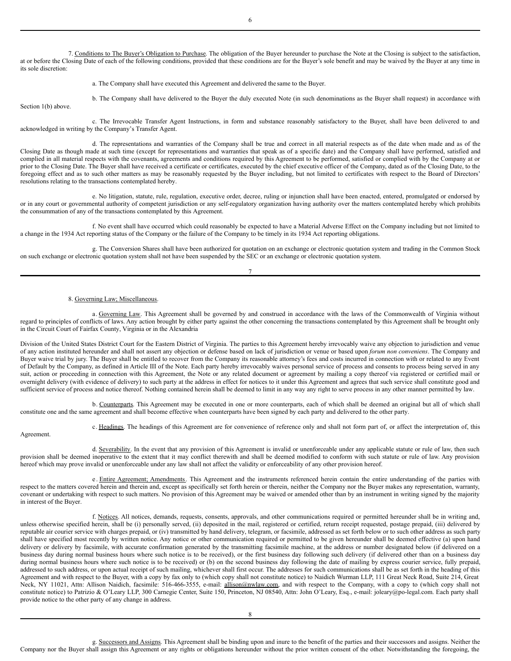7. Conditions to The Buyer's Obligation to Purchase. The obligation of the Buyer hereunder to purchase the Note at the Closing is subject to the satisfaction, at or before the Closing Date of each of the following conditions, provided that these conditions are for the Buyer's sole benefit and may be waived by the Buyer at any time in its sole discretion:

a. The Company shall have executed this Agreement and delivered the same to the Buyer.

b. The Company shall have delivered to the Buyer the duly executed Note (in such denominations as the Buyer shall request) in accordance with Section 1(b) above.

c. The Irrevocable Transfer Agent Instructions, in form and substance reasonably satisfactory to the Buyer, shall have been delivered to and acknowledged in writing by the Company's Transfer Agent.

d. The representations and warranties of the Company shall be true and correct in all material respects as of the date when made and as of the Closing Date as though made at such time (except for representations and warranties that speak as of a specific date) and the Company shall have performed, satisfied and complied in all material respects with the covenants, agreements and conditions required by this Agreement to be performed, satisfied or complied with by the Company at or prior to the Closing Date. The Buyer shall have received a certificate or certificates, executed by the chief executive officer of the Company, dated as of the Closing Date, to the foregoing effect and as to such other matters as may be reasonably requested by the Buyer including, but not limited to certificates with respect to the Board of Directors' resolutions relating to the transactions contemplated hereby.

e. No litigation, statute, rule, regulation, executive order, decree, ruling or injunction shall have been enacted, entered, promulgated or endorsed by or in any court or governmental authority of competent jurisdiction or any self-regulatory organization having authority over the matters contemplated hereby which prohibits the consummation of any of the transactions contemplated by this Agreement.

f. No event shall have occurred which could reasonably be expected to have a Material Adverse Effect on the Company including but not limited to a change in the 1934 Act reporting status of the Company or the failure of the Company to be timely in its 1934 Act reporting obligations.

g. The Conversion Shares shall have been authorized for quotation on an exchange or electronic quotation system and trading in the Common Stock on such exchange or electronic quotation system shall not have been suspended by the SEC or an exchange or electronic quotation system.

7

#### 8. Governing Law; Miscellaneous.

a. Governing Law. This Agreement shall be governed by and construed in accordance with the laws of the Commonwealth of Virginia without regard to principles of conflicts of laws. Any action brought by either party against the other concerning the transactions contemplated by this Agreement shall be brought only in the Circuit Court of Fairfax County, Virginia or in the Alexandria

Division of the United States District Court for the Eastern District of Virginia. The parties to this Agreement hereby irrevocably waive any objection to jurisdiction and venue of any action instituted hereunder and shall not assert any objection or defense based on lack of jurisdiction or venue or based upon *forum non conveniens*. The Company and Buyer waive trial by jury. The Buyer shall be entitled to recover from the Company its reasonable attorney's fees and costs incurred in connection with or related to any Event of Default by the Company, as defined in Article III of the Note. Each party hereby irrevocably waives personal service of process and consents to process being served in any suit, action or proceeding in connection with this Agreement, the Note or any related document or agreement by mailing a copy thereof via registered or certified mail or overnight delivery (with evidence of delivery) to such party at the address in effect for notices to it under this Agreement and agrees that such service shall constitute good and sufficient service of process and notice thereof. Nothing contained herein shall be deemed to limit in any way any right to serve process in any other manner permitted by law.

b. Counterparts. This Agreement may be executed in one or more counterparts, each of which shall be deemed an original but all of which shall constitute one and the same agreement and shall become effective when counterparts have been signed by each party and delivered to the other party.

Agreement.

c. Headings. The headings of this Agreement are for convenience of reference only and shall not form part of, or affect the interpretation of, this

d. Severability. In the event that any provision of this Agreement is invalid or unenforceable under any applicable statute or rule of law, then such provision shall be deemed inoperative to the extent that it may conflict therewith and shall be deemed modified to conform with such statute or rule of law. Any provision hereof which may prove invalid or unenforceable under any law shall not affect the validity or enforceability of any other provision hereof.

e. Entire Agreement; Amendments. This Agreement and the instruments referenced herein contain the entire understanding of the parties with respect to the matters covered herein and therein and, except as specifically set forth herein or therein, neither the Company nor the Buyer makes any representation, warranty, covenant or undertaking with respect to such matters. No provision of this Agreement may be waived or amended other than by an instrument in writing signed by the majority in interest of the Buyer.

f. Notices. All notices, demands, requests, consents, approvals, and other communications required or permitted hereunder shall be in writing and, unless otherwise specified herein, shall be (i) personally served, (ii) deposited in the mail, registered or certified, return receipt requested, postage prepaid, (iii) delivered by reputable air courier service with charges prepaid, or (iv) transmitted by hand delivery, telegram, or facsimile, addressed as set forth below or to such other address as such party shall have specified most recently by written notice. Any notice or other communication required or permitted to be given hereunder shall be deemed effective (a) upon hand delivery or delivery by facsimile, with accurate confirmation generated by the transmitting facsimile machine, at the address or number designated below (if delivered on a business day during normal business hours where such notice is to be received), or the first business day following such delivery (if delivered other than on a business day during normal business hours where such notice is to be received) or (b) on the second business day following the date of mailing by express courier service, fully prepaid, addressed to such address, or upon actual receipt of such mailing, whichever shall first occur. The addresses for such communications shall be as set forth in the heading of this Agreement and with respect to the Buyer, with a copy by fax only to (which copy shall not constitute notice) to Naidich Wurman LLP, 111 Great Neck Road, Suite 214, Great Neck, NY 11021, Attn: Allison Naidich, facsimile: 516-466-3555, e-mail: allison@nwlaw.com, and with respect to the Company, with a copy to (which copy shall not constitute notice) to Patrizio & O'Leary LLP, 300 Carnegie Center, Suite 150, Princeton, NJ 08540, Attn: John O'Leary, Esq., e-mail: joleary@po-legal.com. Each party shall provide notice to the other party of any change in address.

g. Successors and Assigns. This Agreement shall be binding upon and inure to the benefit of the parties and their successors and assigns. Neither the Company nor the Buyer shall assign this Agreement or any rights or obligations hereunder without the prior written consent of the other. Notwithstanding the foregoing, the